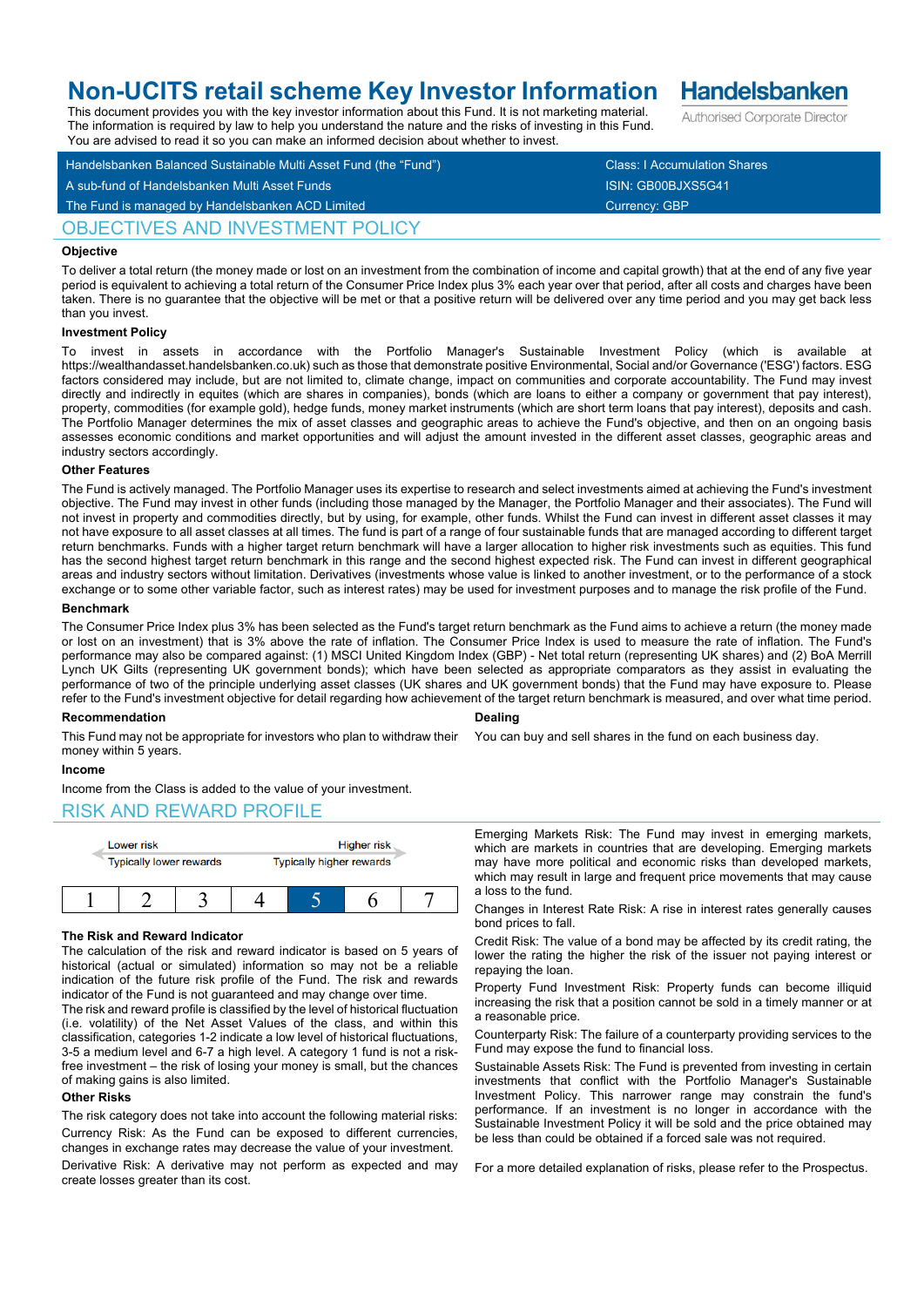# **Non-UCITS retail scheme Key Investor Information**

This document provides you with the key investor information about this Fund. It is not marketing material. The information is required by law to help you understand the nature and the risks of investing in this Fund.

Handelsbanken Balanced Sustainable Multi Asset Fund (the "Fund") Class: I Accumulation Shares A sub-fund of Handelsbanken Multi Asset Funds ISIN: GB00BJXS5G41 You are advised to read it so you can make an informed decision about whether to invest.

## OBJECTIVES AND INVESTMENT POLICY

## **Objective**

To deliver a total return (the money made or lost on an investment from the combination of income and capital growth) that at the end of any five year period is equivalent to achieving a total return of the Consumer Price Index plus 3% each year over that period, after all costs and charges have been taken. There is no guarantee that the objective will be met or that a positive return will be delivered over any time period and you may get back less than you invest.

## **Investment Policy**

To invest in assets in accordance with the Portfolio Manager's Sustainable Investment Policy (which is available https://wealthandasset.handelsbanken.co.uk) such as those that demonstrate positive Environmental, Social and/or Governance ('ESG') factors. ESG factors considered may include, but are not limited to, climate change, impact on communities and corporate accountability. The Fund may invest directly and indirectly in equites (which are shares in companies), bonds (which are loans to either a company or government that pay interest), property, commodities (for example gold), hedge funds, money market instruments (which are short term loans that pay interest), deposits and cash. The Portfolio Manager determines the mix of asset classes and geographic areas to achieve the Fund's objective, and then on an ongoing basis assesses economic conditions and market opportunities and will adjust the amount invested in the different asset classes, geographic areas and industry sectors accordingly.

#### **Other Features**

The Fund is actively managed. The Portfolio Manager uses its expertise to research and select investments aimed at achieving the Fund's investment objective. The Fund may invest in other funds (including those managed by the Manager, the Portfolio Manager and their associates). The Fund will not invest in property and commodities directly, but by using, for example, other funds. Whilst the Fund can invest in different asset classes it may not have exposure to all asset classes at all times. The fund is part of a range of four sustainable funds that are managed according to different target return benchmarks. Funds with a higher target return benchmark will have a larger allocation to higher risk investments such as equities. This fund has the second highest target return benchmark in this range and the second highest expected risk. The Fund can invest in different geographical areas and industry sectors without limitation. Derivatives (investments whose value is linked to another investment, or to the performance of a stock exchange or to some other variable factor, such as interest rates) may be used for investment purposes and to manage the risk profile of the Fund.

## **Benchmark**

The Consumer Price Index plus 3% has been selected as the Fund's target return benchmark as the Fund aims to achieve a return (the money made or lost on an investment) that is 3% above the rate of inflation. The Consumer Price Index is used to measure the rate of inflation. The Fund's performance may also be compared against: (1) MSCI United Kingdom Index (GBP) - Net total return (representing UK shares) and (2) BoA Merrill Lynch UK Gilts (representing UK government bonds); which have been selected as appropriate comparators as they assist in evaluating the performance of two of the principle underlying asset classes (UK shares and UK government bonds) that the Fund may have exposure to. Please refer to the Fund's investment objective for detail regarding how achievement of the target return benchmark is measured, and over what time period.

## **Recommendation**

**Dealing**

You can buy and sell shares in the fund on each business day.

## money within 5 years.

## **Income**

Income from the Class is added to the value of your investment.

## RISK AND REWARD PROFILE



This Fund may not be appropriate for investors who plan to withdraw their

## **The Risk and Reward Indicator**

The calculation of the risk and reward indicator is based on 5 years of historical (actual or simulated) information so may not be a reliable indication of the future risk profile of the Fund. The risk and rewards indicator of the Fund is not guaranteed and may change over time.

The risk and reward profile is classified by the level of historical fluctuation (i.e. volatility) of the Net Asset Values of the class, and within this classification, categories 1-2 indicate a low level of historical fluctuations, 3-5 a medium level and 6-7 a high level. A category 1 fund is not a riskfree investment – the risk of losing your money is small, but the chances of making gains is also limited.

## **Other Risks**

The risk category does not take into account the following material risks: Currency Risk: As the Fund can be exposed to different currencies, changes in exchange rates may decrease the value of your investment.

Derivative Risk: A derivative may not perform as expected and may create losses greater than its cost.

Emerging Markets Risk: The Fund may invest in emerging markets, which are markets in countries that are developing. Emerging markets may have more political and economic risks than developed markets, which may result in large and frequent price movements that may cause a loss to the fund.

Changes in Interest Rate Risk: A rise in interest rates generally causes bond prices to fall.

Credit Risk: The value of a bond may be affected by its credit rating, the lower the rating the higher the risk of the issuer not paying interest or repaying the loan.

Property Fund Investment Risk: Property funds can become illiquid increasing the risk that a position cannot be sold in a timely manner or at a reasonable price.

Counterparty Risk: The failure of a counterparty providing services to the Fund may expose the fund to financial loss.

Sustainable Assets Risk: The Fund is prevented from investing in certain investments that conflict with the Portfolio Manager's Sustainable Investment Policy. This narrower range may constrain the fund's performance. If an investment is no longer in accordance with the Sustainable Investment Policy it will be sold and the price obtained may be less than could be obtained if a forced sale was not required.

For a more detailed explanation of risks, please refer to the Prospectus.

**Handelsbanken** Authorised Corporate Director

The Fund is managed by Handelsbanken ACD Limited Currency: GBP Currency: GBP